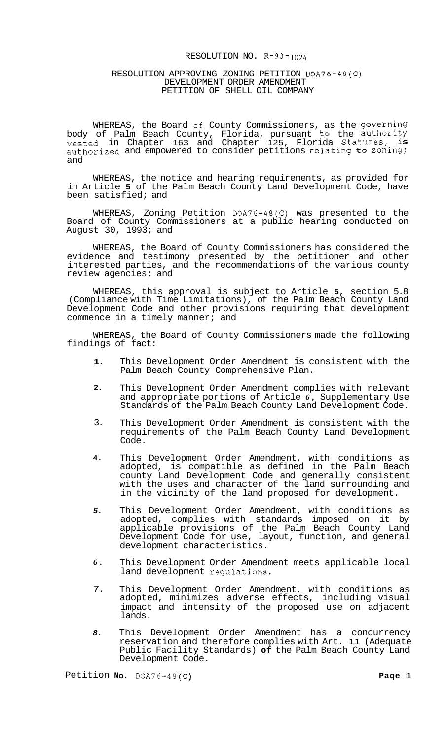### RESOLUTION NO. R-93-1024

#### RESOLUTION APPROVING ZONING PETITION DOA76-48(C) DEVELOPMENT ORDER AMENDMENT PETITION OF SHELL OIL COMPANY

WHEREAS, the Board of County Commissioners, as the governing body of Palm Beach County, Florida, pursuant to the authority vested in Chapter 163 and Chapter 125, Florida Statutes, is authorized and empowered to consider petitions relating to zoning; and

WHEREAS, the notice and hearing requirements, as provided for in Article **5** of the Palm Beach County Land Development Code, have been satisfied; and

WHEREAS, Zoning Petition DOA76-48(C) was presented to the Board of County Commissioners at a public hearing conducted on August 30, 1993; and

WHEREAS, the Board of County Commissioners has considered the evidence and testimony presented by the petitioner and other interested parties, and the recommendations of the various county review agencies; and

WHEREAS, this approval is subject to Article **5,** section 5.8 (Compliance with Time Limitations), of the Palm Beach County Land Development Code and other provisions requiring that development commence in a timely manner; and

WHEREAS, the Board of County Commissioners made the following findings of fact:

- **1.**  This Development Order Amendment is consistent with the Palm Beach County Comprehensive Plan.
- **2.**  This Development Order Amendment complies with relevant and appropriate portions of Article *6,* Supplementary Use Standards of the Palm Beach County Land Development Code.
- 3. This Development Order Amendment is consistent with the requirements of the Palm Beach County Land Development Code.
- **4.**  This Development Order Amendment, with conditions as adopted, is compatible as defined in the Palm Beach county Land Development Code and generally consistent with the uses and character of the land surrounding and in the vicinity of the land proposed for development.
- *5.*  This Development Order Amendment, with conditions as adopted, complies with standards imposed on it by applicable provisions of the Palm Beach County Land Development Code for use, layout, function, and general development characteristics.
- *6.*  This Development Order Amendment meets applicable local land development regulations.
- 7. This Development Order Amendment, with conditions as adopted, minimizes adverse effects, including visual impact and intensity of the proposed use on adjacent lands.
- *8.*  This Development Order Amendment has a concurrency reservation and therefore complies with Art. 11 (Adequate Public Facility Standards) **of** the Palm Beach County Land Development Code.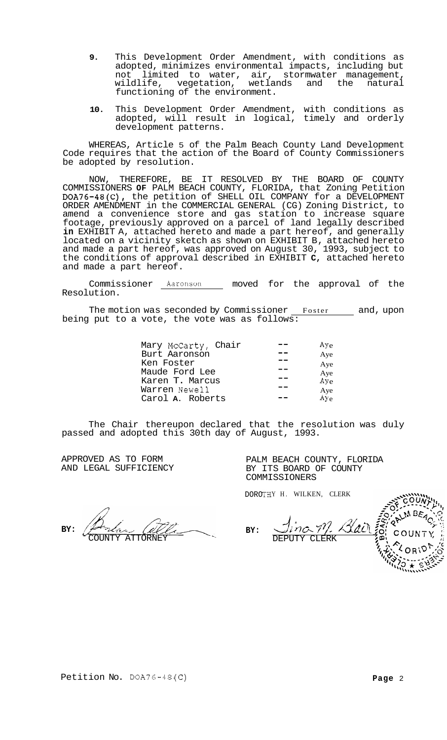- **9.** This Development Order Amendment, with conditions as adopted, minimizes environmental impacts, including but<br>not limited to water, air, stormwater management. limited to water, air, stormwater management,<br>ife, vegetation, wetlands and the natural wildlife, vegetation, functioning of the environment.
- **10.** This Development Order Amendment, with conditions as adopted, will result in logical, timely and orderly development patterns.

WHEREAS, Article 5 of the Palm Beach County Land Development Code requires that the action of the Board of County Commissioners be adopted by resolution.

NOW, THEREFORE, BE IT RESOLVED BY THE BOARD OF COUNTY COMMISSIONERS **OF** PALM BEACH COUNTY, FLORIDA, that Zoning Petition DOA76-48(C), the petition of SHELL OIL COMPANY for a DEVELOPMENT ORDER AMENDMENT in the COMMERCIAL GENERAL (CG) Zoning District, to amend a convenience store and gas station to increase square footage, previously approved on a parcel of land legally described **in** EXHIBIT A, attached hereto and made a part hereof, and generally located on a vicinity sketch as shown on EXHIBIT B, attached hereto and made a part hereof, was approved on August 30, 1993, subject to the conditions of approval described in EXHIBIT **C,** attached hereto and made a part hereof.

Commissioner **Aaronson** moved for the approval of the Resolution.

The motion was seconded by Commissioner <u>Foster and</u>, upon being put to a vote, the vote was as follows:  $\overline{\phantom{a}}$ 

| Mary McCarty, Chair | $Ay_e$       |
|---------------------|--------------|
| Burt Aaronson       | Aye          |
| Ken Foster          | Aye          |
| Maude Ford Lee      | Aye          |
| Karen T. Marcus     | Aye          |
| Warren Newell       | Aye          |
| Carol A. Roberts    | $A\bar{v}_e$ |

The Chair thereupon declared that the resolution was duly passed and adopted this 30th day of August, 1993.

**BY:** 

APPROVED AS TO FORM **PALM BEACH COUNTY, FLORIDA**<br>
AND LEGAL SUFFICIENCY BY ITS BOARD OF COUNTY BY ITS BOARD OF COUNTY COMMISSIONERS

DOROTHY H. WILKEN, CLERK

**BY:**  ATTORNEY

 $MBEA_{C}$  $\bigcup_{i \neq j}$  $\frac{2}{\sqrt[2]{\frac{2}{\sqrt[2]{\frac{2}{\sqrt[2]{\frac{2}{\sqrt[2]{\frac{2}{\sqrt[2]{\frac{2}{\sqrt[2]{\frac{2}{\sqrt[2]{\frac{2}{\sqrt[2]{\frac{2}{\sqrt[2]{\frac{2}{\sqrt[2]{\frac{2}{\sqrt[2]{\frac{2}{\sqrt[2]{\frac{2}{\sqrt[2]{\frac{2}{\sqrt[2]{\frac{2}{\sqrt[2]{\frac{2}{\sqrt[2]{\frac{2}{\sqrt[2]{\frac{2}{\sqrt[2]{\frac{2}{\sqrt[2]{\frac{2}{\sqrt[2]{\frac{2}{\sqrt[2]{\frac{2}{\sqrt[2]{$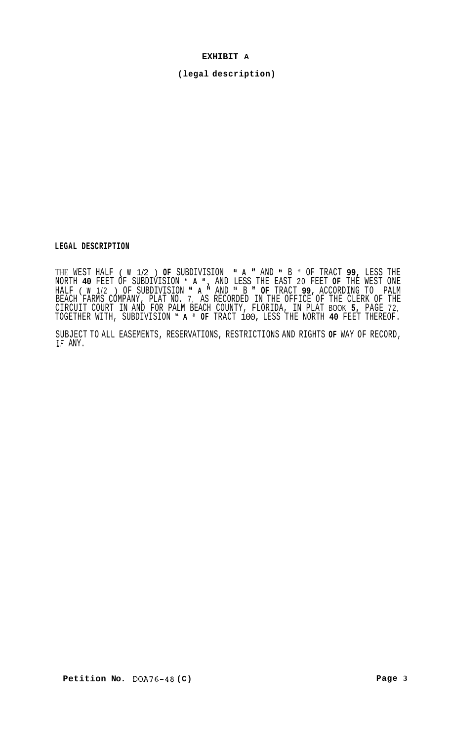## **EXHIBIT A**

**(legal description)** 

**LEGAL DESCRIPTION** 

THE WEST HALF ( **W** 1/2 ) **OF** SUBDIVISION **'I A** AND **I'** B " OF TRACT **99,** LESS THE NORTH **40** FEET OF SUBDIVISION " **A 'I,** AND LESS THE EAST 20 FEET **OF** THE WEST ONE HALF ( **W** 1/2 ) OF SUBDIVISION **'I A** AND **I'** B **OF** TRACT **99,** ACCORDING TO PALM BEACH FARMS COMPANY, PLAT NO. 7, AS RECORDED IN THE OFFICE OF THE CLERK OF THE CIRCUIT COURT IN AND FOR PALM BEACH COUNTY, FLORIDA, IN PLAT BOOK **5,** PAGE 72, TOGETHER WITH, SUBDIVISION **A** " **OF** TRACT 100, LESS THE NORTH **40** FEET THEREOF.

SUBJECT TO ALL EASEMENTS, RESERVATIONS, RESTRICTIONS AND RIGHTS **OF** WAY OF RECORD, IF ANY.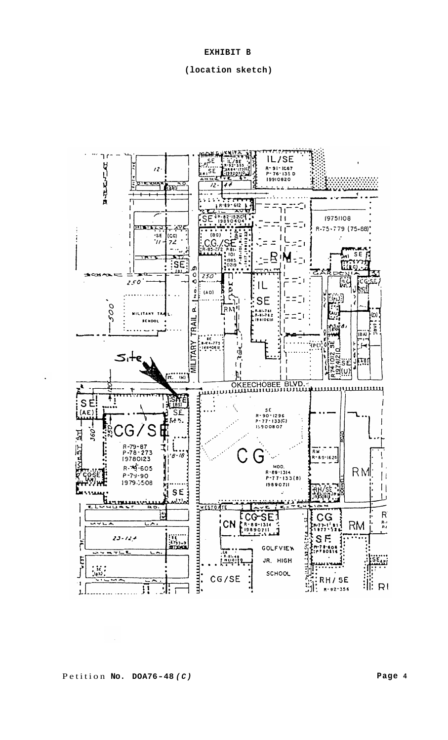# **EXHIBIT B**

### **(location sketch)**

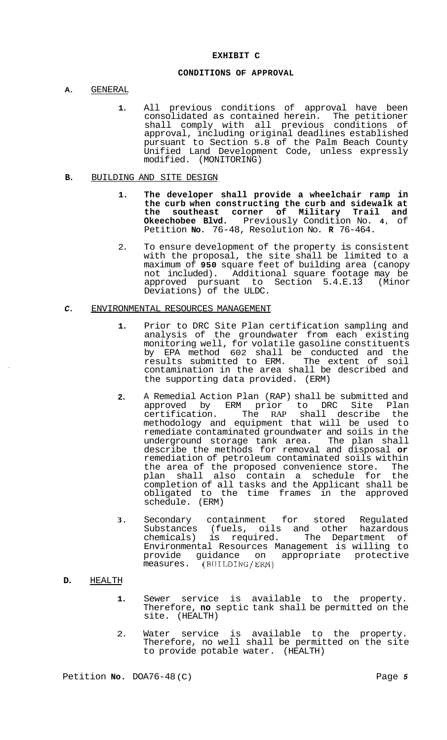## **CONDITIONS OF APPROVAL**

- **A.** GENERAL
	- **1.** All previous conditions of approval have been consolidated as contained herein. The petitioner shall comply with all previous conditions of approval, including original deadlines established pursuant to Section 5.8 of the Palm Beach County Unified Land Development Code, unless expressly modified. (MONITORING)

#### **B.** BUILDING AND SITE DESIGN

- **1. The developer shall provide a wheelchair ramp in the curb when constructing the curb and sidewalk at the southeast corner of Military Trail and Okeechobee Blvd.** Previously Condition No. **4,** of Petition **No.** 76-48, Resolution No. **R** 76-464.
- 2. To ensure development of the property is consistent with the proposal, the site shall be limited to a maximum of **950** square feet of building area (canopy not included). Additional square footage may be approved pursuant to Section 5.4.E.13 (Minor Deviations) of the ULDC.

## *C.* ENVIRONMENTAL RESOURCES MANAGEMENT

- **1.** Prior to DRC Site Plan certification sampling and analysis of the groundwater from each existing monitoring well, for volatile gasoline constituents by EPA method 602 shall be conducted and the results submitted to ERM. The extent of soil contamination in the area shall be described and the supporting data provided. (ERM)
- **2.** A Remedial Action Plan (RAP) shall be submitted and approved by ERM prior to DRC Site Plan certification. The RAP shall describe the methodology and equipment that will be used to remediate contaminated groundwater and soils in the underground storage tank area. The plan shall describe the methods for removal and disposal **or**  remediation of petroleum contaminated soils within the area of the proposed convenience store. The plan shall also contain a schedule for the completion of all tasks and the Applicant shall be obligated to the time frames in the approved schedule. (ERM)
- **3.** Secondary containment for stored Regulated Substances (fuels, oils and other hazardous chemicals) is required. The Department of Environmental Resources Management is willing to provide guidance on appropriate protective measures. (BUILDING/ERM)

# **D.** HEALTH

- **1.** Sewer service is available to the property. Therefore, **no** septic tank shall be permitted on the site. (HEALTH)
- 2. Water service is available to the property. Therefore, no well shall be permitted on the site to provide potable water. (HEALTH)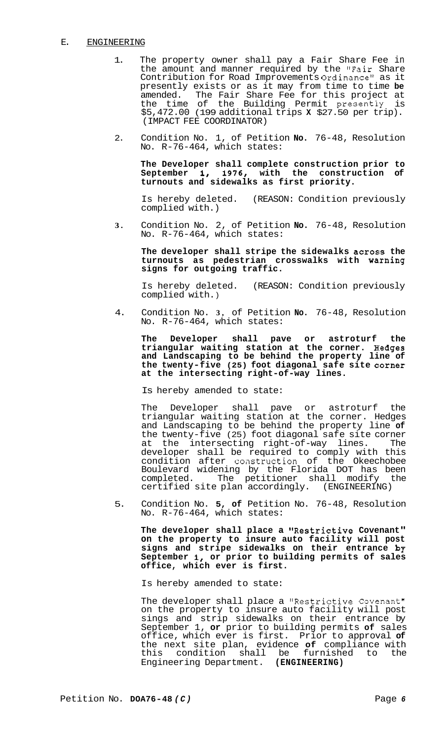# E. ENGINEERING

- 1. The property owner shall pay a Fair Share Fee in the amount and manner required by the "Fair Share Contribution for Road Improvements Ordinancell as it presently exists or as it may from time to time **be**  amended. The Fair Share Fee for this project at the time of the Building Permit presently is \$5,472.00 (199 additional trips **X** \$27.50 per trip). (IMPACT FEE COORDINATOR)
- 2. Condition No. 1, of Petition **No.** 76-48, Resolution No. R-76-464, which states:

**The Developer shall complete construction prior to September 1, 1976, with the construction of turnouts and sidewalks as first priority.** 

Is hereby deleted. (REASON: Condition previously complied with.)

**3.** Condition No. 2, of Petition **No.** 76-48, Resolution No. R-76-464, which states:

**The developer shall stripe the sidewalks across the**  turnouts as pedestrian crosswalks with warning **signs for outgoing traffic.** 

Is hereby deleted. (REASON: Condition previously complied with. )

4. Condition No. **3,** of Petition **No.** 76-48, Resolution No. R-76-464, which states:

**The Developer shall pave or astroturf the triangular waiting station at the corner. Hedges and Landscaping to be behind the property line of**  the twenty-five (25) foot diagonal safe site corner **at the intersecting right-of-way lines.** 

Is hereby amended to state:

The Developer shall pave or astroturf the triangular waiting station at the corner. Hedges and Landscaping to be behind the property line **of**  the twenty-five (25) foot diagonal safe site corner<br>at the intersecting right-of-way lines. The at the intersecting right-of-way lines. developer shall be required to comply with this condition after coastruction of the Okeechobee Boulevard widening by the Florida DOT has been completed. The petitioner shall modify the certified site plan accordingly. (ENGINEERING)

5. Condition No. **5, of** Petition No. 76-48, Resolution No. R-76-464, which states:

**The developer shall place a "Restrictive Covenant" on the property to insure auto facility will post signs and stripe sidewalks on their entrance by September I, or prior to building permits of sales office, which ever is first.** 

Is hereby amended to state:

The developer shall place a "Restrictive Covenant" on the property to insure auto facility will post sings and strip sidewalks on their entrance by September 1, **or** prior to building permits **of** sales office, which ever is first. Prior to approval **of**  the next site plan, evidence **of** compliance with this condition shall be furnished to the Engineering Department. **(ENGINEERING)**